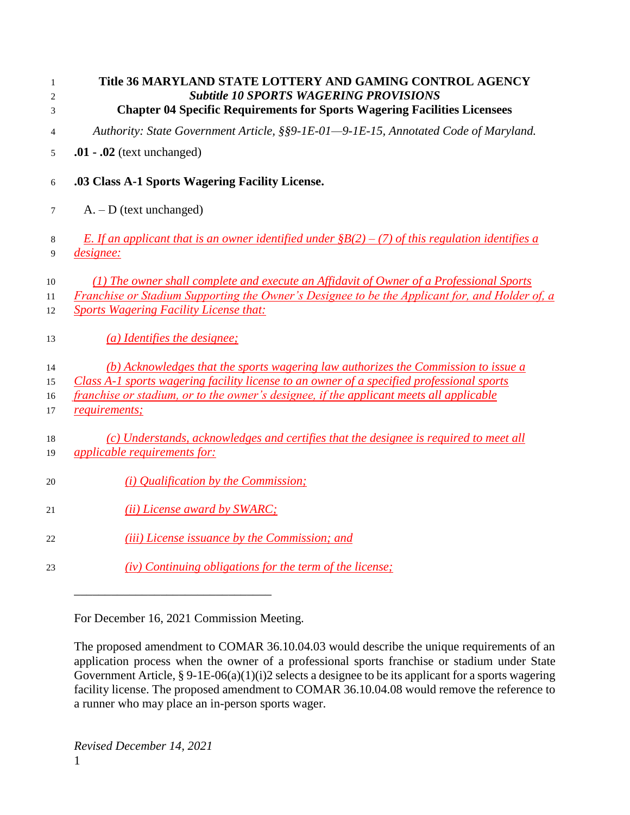| $\mathbf{1}$<br>$\overline{2}$<br>3 | Title 36 MARYLAND STATE LOTTERY AND GAMING CONTROL AGENCY<br><b>Subtitle 10 SPORTS WAGERING PROVISIONS</b><br><b>Chapter 04 Specific Requirements for Sports Wagering Facilities Licensees</b>                                                                                              |
|-------------------------------------|---------------------------------------------------------------------------------------------------------------------------------------------------------------------------------------------------------------------------------------------------------------------------------------------|
| 4                                   | Authority: State Government Article, §§9-1E-01-9-1E-15, Annotated Code of Maryland.                                                                                                                                                                                                         |
| 5                                   | $.01 - .02$ (text unchanged)                                                                                                                                                                                                                                                                |
| 6                                   | .03 Class A-1 Sports Wagering Facility License.                                                                                                                                                                                                                                             |
| 7                                   | $A. - D$ (text unchanged)                                                                                                                                                                                                                                                                   |
| 8<br>9                              | E. If an applicant that is an owner identified under $$B(2) - (7)$ of this regulation identifies a<br><i><u>designee:</u></i>                                                                                                                                                               |
| 10<br>11<br>12                      | (1) The owner shall complete and execute an Affidavit of Owner of a Professional Sports<br>Franchise or Stadium Supporting the Owner's Designee to be the Applicant for, and Holder of, a<br><b>Sports Wagering Facility License that:</b>                                                  |
| 13                                  | (a) Identifies the designee;                                                                                                                                                                                                                                                                |
| 14<br>15<br>16<br>17                | (b) Acknowledges that the sports wagering law authorizes the Commission to issue a<br>Class A-1 sports wagering facility license to an owner of a specified professional sports<br>franchise or stadium, or to the owner's designee, if the applicant meets all applicable<br>requirements; |
| 18<br>19                            | (c) Understands, acknowledges and certifies that the designee is required to meet all<br><i>applicable requirements for:</i>                                                                                                                                                                |
| 20                                  | ( <i>i</i> ) Qualification by the Commission;                                                                                                                                                                                                                                               |
| 21                                  | (ii) License award by SWARC;                                                                                                                                                                                                                                                                |
| 22                                  | ( <i>iii</i> ) License issuance by the Commission; and                                                                                                                                                                                                                                      |
| 23                                  | (iv) Continuing obligations for the term of the license;                                                                                                                                                                                                                                    |
|                                     |                                                                                                                                                                                                                                                                                             |

\_\_\_\_\_\_\_\_\_\_\_\_\_\_\_\_\_\_\_\_\_\_\_\_\_\_\_\_\_\_\_\_

The proposed amendment to COMAR 36.10.04.03 would describe the unique requirements of an application process when the owner of a professional sports franchise or stadium under State Government Article, § 9-1E-06(a)(1)(i)2 selects a designee to be its applicant for a sports wagering facility license. The proposed amendment to COMAR 36.10.04.08 would remove the reference to a runner who may place an in-person sports wager.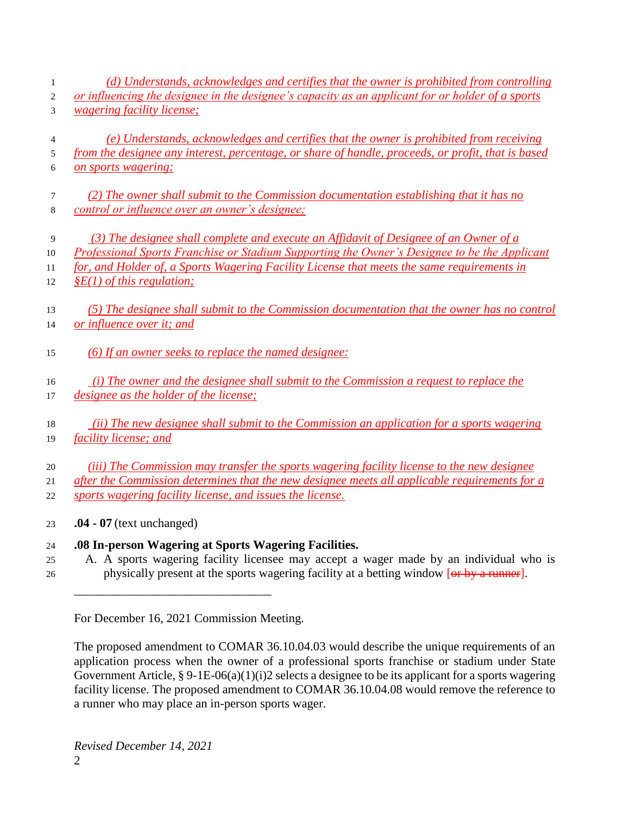- *(d) Understands, acknowledges and certifies that the owner is prohibited from controlling or influencing the designee in the designee's capacity as an applicant for or holder of a sports*
- *wagering facility license;*
- *(e) Understands, acknowledges and certifies that the owner is prohibited from receiving from the designee any interest, percentage, or share of handle, proceeds, or profit, that is based on sports wagering;*
- *(2) The owner shall submit to the Commission documentation establishing that it has no control or influence over an owner's designee;*
- *(3) The designee shall complete and execute an Affidavit of Designee of an Owner of a*
- *Professional Sports Franchise or Stadium Supporting the Owner's Designee to be the Applicant for, and Holder of, a Sports Wagering Facility License that meets the same requirements in*
- *§E(1) of this regulation;*
- *(5) The designee shall submit to the Commission documentation that the owner has no control or influence over it; and*
- *(6) If an owner seeks to replace the named designee:*
- *(i) The owner and the designee shall submit to the Commission a request to replace the*
- *designee as the holder of the license;*
- *(ii) The new designee shall submit to the Commission an application for a sports wagering facility license; and*
- *(iii) The Commission may transfer the sports wagering facility license to the new designee*

 *after the Commission determines that the new designee meets all applicable requirements for a sports wagering facility license, and issues the license.*

- **.04 - 07** (text unchanged)
- **.08 In-person Wagering at Sports Wagering Facilities.**
- A. A sports wagering facility licensee may accept a wager made by an individual who is 26 physically present at the sports wagering facility at a betting window [or by a runner].

For December 16, 2021 Commission Meeting.

\_\_\_\_\_\_\_\_\_\_\_\_\_\_\_\_\_\_\_\_\_\_\_\_\_\_\_\_\_\_\_\_

The proposed amendment to COMAR 36.10.04.03 would describe the unique requirements of an application process when the owner of a professional sports franchise or stadium under State Government Article, § 9-1E-06(a)(1)(i)2 selects a designee to be its applicant for a sports wagering facility license. The proposed amendment to COMAR 36.10.04.08 would remove the reference to a runner who may place an in-person sports wager.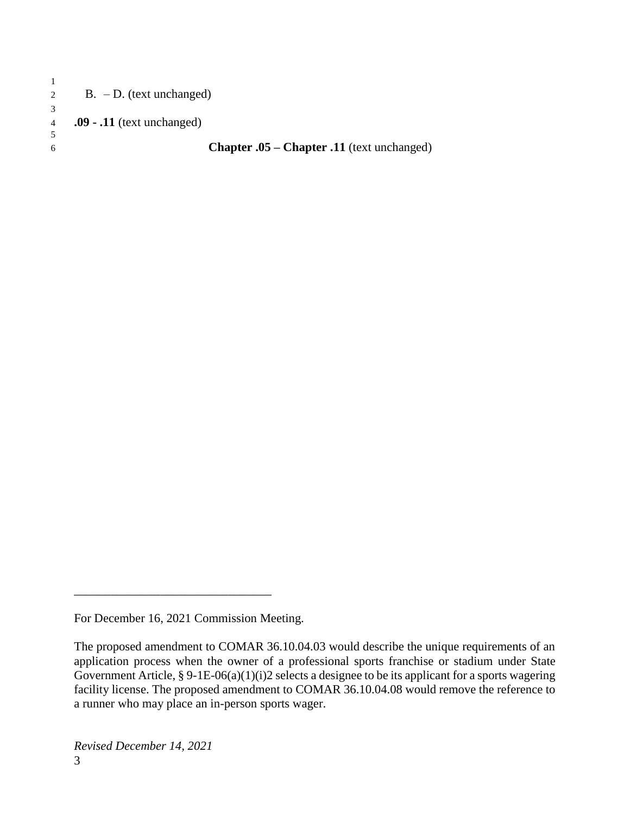| 2  | $B. - D.$ (text unchanged)                        |
|----|---------------------------------------------------|
|    |                                                   |
| 4  | $.09 - .11$ (text unchanged)                      |
|    |                                                   |
| б. | <b>Chapter .05 – Chapter .11</b> (text unchanged) |
|    |                                                   |

For December 16, 2021 Commission Meeting.

The proposed amendment to COMAR 36.10.04.03 would describe the unique requirements of an application process when the owner of a professional sports franchise or stadium under State Government Article, § 9-1E-06(a)(1)(i)2 selects a designee to be its applicant for a sports wagering facility license. The proposed amendment to COMAR 36.10.04.08 would remove the reference to a runner who may place an in-person sports wager.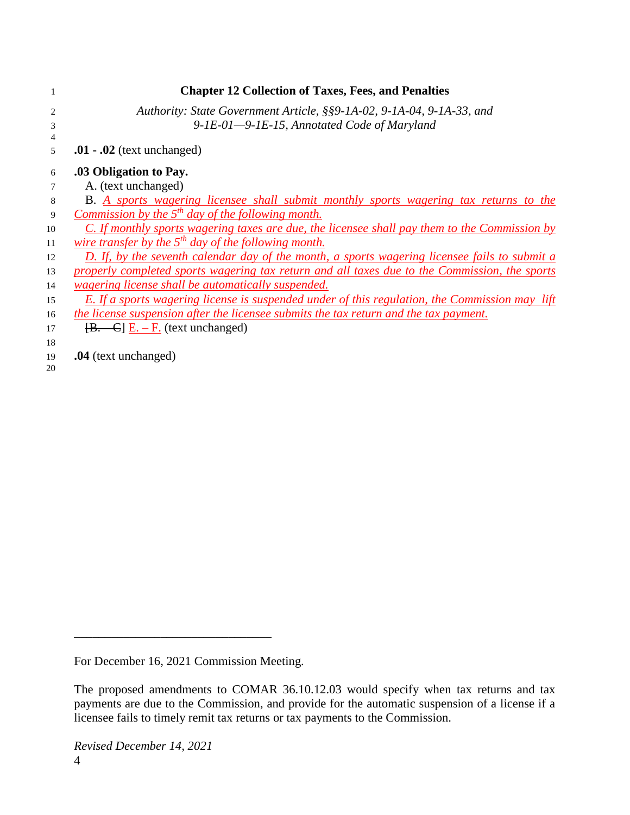|    | <b>Chapter 12 Collection of Taxes, Fees, and Penalties</b>                                     |
|----|------------------------------------------------------------------------------------------------|
| 2  | Authority: State Government Article, §§9-1A-02, 9-1A-04, 9-1A-33, and                          |
| 3  | 9-1E-01-9-1E-15, Annotated Code of Maryland                                                    |
| 4  |                                                                                                |
| 5  | $.01 - .02$ (text unchanged)                                                                   |
| 6  | .03 Obligation to Pay.                                                                         |
|    | A. (text unchanged)                                                                            |
| 8  | <b>B.</b> A sports wagering licensee shall submit monthly sports wagering tax returns to the   |
| 9  | Commission by the $5th$ day of the following month.                                            |
| 10 | C. If monthly sports wagering taxes are due, the licensee shall pay them to the Commission by  |
| 11 | wire transfer by the $5th$ day of the following month.                                         |
| 12 | D. If, by the seventh calendar day of the month, a sports wagering licensee fails to submit a  |
| 13 | properly completed sports wagering tax return and all taxes due to the Commission, the sports  |
| 14 | <i><u>wagering license shall be automatically suspended.</u></i>                               |
| 15 | E. If a sports wagering license is suspended under of this regulation, the Commission may lift |
| 16 | the license suspension after the licensee submits the tax return and the tax payment.          |
| 17 | $[\mathbf{B} \cdot \mathbf{C}] \underline{\mathbf{E}} \cdot -\mathbf{F}$ (text unchanged)      |
| 18 |                                                                                                |
| 19 | .04 (text unchanged)                                                                           |
| 20 |                                                                                                |

The proposed amendments to COMAR 36.10.12.03 would specify when tax returns and tax payments are due to the Commission, and provide for the automatic suspension of a license if a licensee fails to timely remit tax returns or tax payments to the Commission.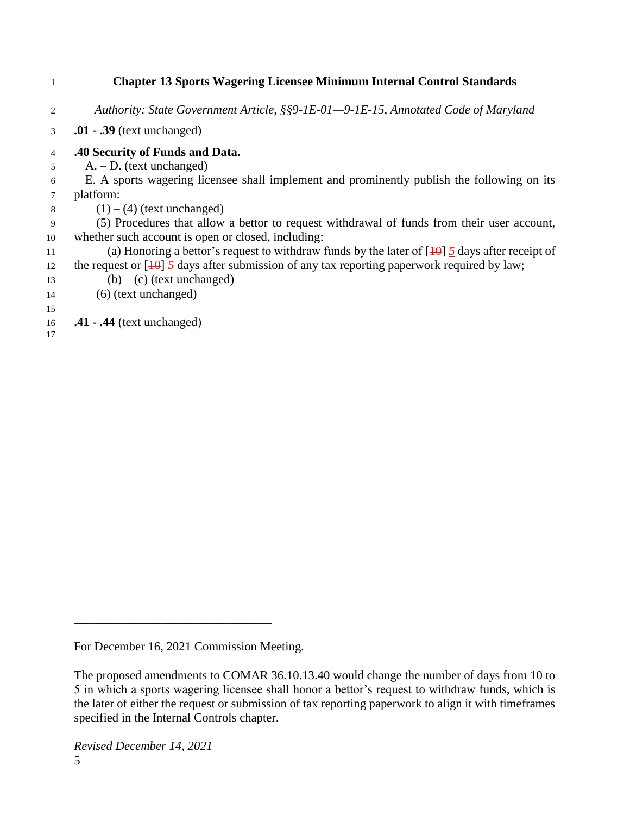## 1 **Chapter 13 Sports Wagering Licensee Minimum Internal Control Standards** 2 *Authority: State Government Article, §§9-1E-01—9-1E-15, Annotated Code of Maryland* 3 **.01 - .39** (text unchanged) 4 **.40 Security of Funds and Data.** 5 A. – D. (text unchanged) 6 E. A sports wagering licensee shall implement and prominently publish the following on its 7 platform: 8  $(1) - (4)$  (text unchanged) 9 (5) Procedures that allow a bettor to request withdrawal of funds from their user account, 10 whether such account is open or closed, including: 11 (a) Honoring a bettor's request to withdraw funds by the later of [10] *5* days after receipt of 12 the request or  $\left[1\theta\right]$  5 days after submission of any tax reporting paperwork required by law; 13 (b) – (c) (text unchanged) 14 (6) (text unchanged) 15 16 **.41 - .44** (text unchanged) 17

For December 16, 2021 Commission Meeting.

The proposed amendments to COMAR 36.10.13.40 would change the number of days from 10 to 5 in which a sports wagering licensee shall honor a bettor's request to withdraw funds, which is the later of either the request or submission of tax reporting paperwork to align it with timeframes specified in the Internal Controls chapter.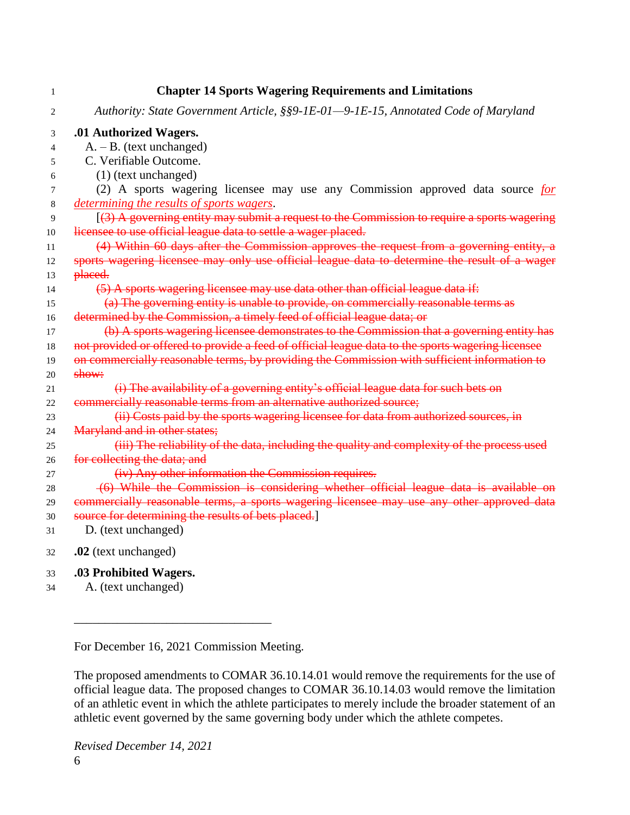| 1              | <b>Chapter 14 Sports Wagering Requirements and Limitations</b>                                    |
|----------------|---------------------------------------------------------------------------------------------------|
| 2              | Authority: State Government Article, §§9-1E-01-9-1E-15, Annotated Code of Maryland                |
| 3              | .01 Authorized Wagers.                                                                            |
| $\overline{4}$ | $A. - B.$ (text unchanged)                                                                        |
| 5              | C. Verifiable Outcome.                                                                            |
| 6              | $(1)$ (text unchanged)                                                                            |
| 7              | (2) A sports wagering licensee may use any Commission approved data source for                    |
| 8              | determining the results of sports wagers.                                                         |
| 9              | $(3)$ A governing entity may submit a request to the Commission to require a sports wagering      |
| 10             | licensee to use official league data to settle a wager placed.                                    |
| 11             | (4) Within 60 days after the Commission approves the request from a governing entity, a           |
| 12             | sports wagering licensee may only use official league data to determine the result of a wager     |
| 13             | placed.                                                                                           |
| 14             | (5) A sports wagering licensee may use data other than official league data if:                   |
| 15             | (a) The governing entity is unable to provide, on commercially reasonable terms as                |
| 16             | determined by the Commission, a timely feed of official league data; or                           |
| 17             | (b) A sports wagering licensee demonstrates to the Commission that a governing entity has         |
| 18             | not provided or offered to provide a feed of official league data to the sports wagering licensee |
| 19             | on commercially reasonable terms, by providing the Commission with sufficient information to      |
| 20             | show:                                                                                             |
| 21             | (i) The availability of a governing entity's official league data for such bets on                |
| 22             | commercially reasonable terms from an alternative authorized source;                              |
| 23             | (ii) Costs paid by the sports wagering licensee for data from authorized sources, in              |
| 24             | Maryland and in other states;                                                                     |
| 25             | (iii) The reliability of the data, including the quality and complexity of the process used       |
| 26             | for collecting the data; and                                                                      |
| 27             | (iv) Any other information the Commission requires.                                               |
| $28\,$         | (6) While the Commission is considering whether official league data is available on              |
| 29             | commercially reasonable terms, a sports wagering licensee may use any other approved data         |
| 30             | source for determining the results of bets placed.]                                               |
| 31             | D. (text unchanged)                                                                               |
| 32             | .02 (text unchanged)                                                                              |
| 33             | .03 Prohibited Wagers.                                                                            |
| 34             | A. (text unchanged)                                                                               |

\_\_\_\_\_\_\_\_\_\_\_\_\_\_\_\_\_\_\_\_\_\_\_\_\_\_\_\_\_\_\_\_

The proposed amendments to COMAR 36.10.14.01 would remove the requirements for the use of official league data. The proposed changes to COMAR 36.10.14.03 would remove the limitation of an athletic event in which the athlete participates to merely include the broader statement of an athletic event governed by the same governing body under which the athlete competes.

*Revised December 14, 2021* 6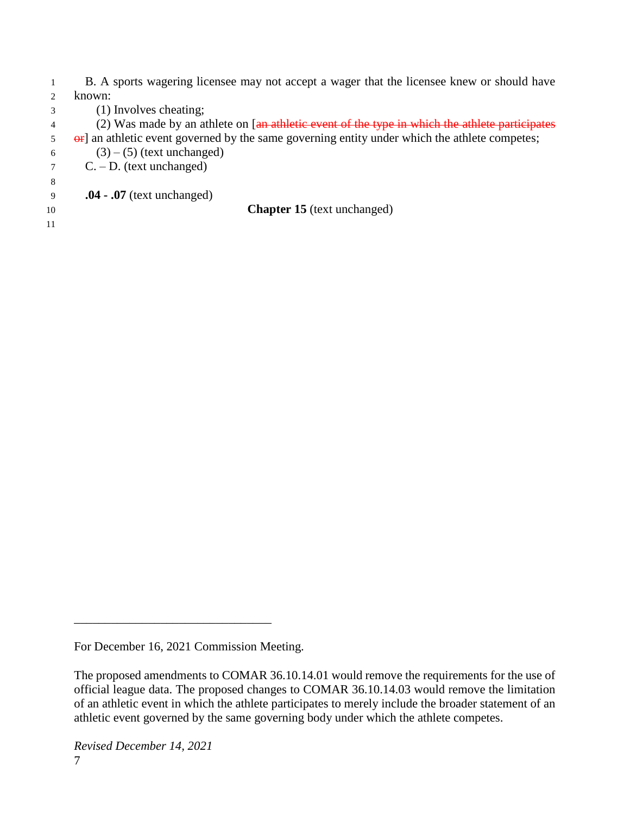1 B. A sports wagering licensee may not accept a wager that the licensee knew or should have 2 known:

3 (1) Involves cheating;

4 (2) Was made by an athlete on [an athletic event of the type in which the athlete participates

- 5 or an athletic event governed by the same governing entity under which the athlete competes;
- 6 (3) (5) (text unchanged)

7 C. – D. (text unchanged) 8

- 9 **.04 - .07** (text unchanged)
- 11

10 **Chapter 15** (text unchanged)

For December 16, 2021 Commission Meeting.

The proposed amendments to COMAR 36.10.14.01 would remove the requirements for the use of official league data. The proposed changes to COMAR 36.10.14.03 would remove the limitation of an athletic event in which the athlete participates to merely include the broader statement of an athletic event governed by the same governing body under which the athlete competes.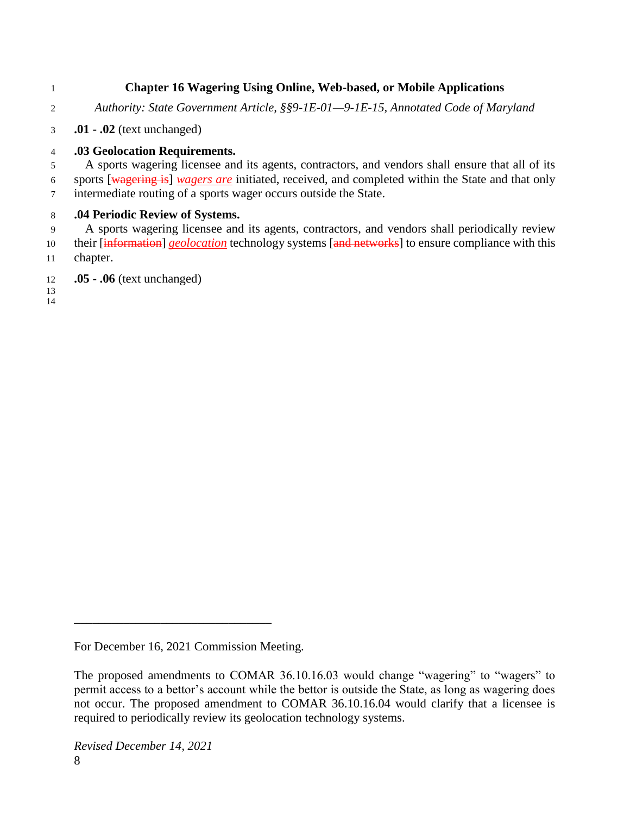## **Chapter 16 Wagering Using Online, Web-based, or Mobile Applications**

- *Authority: State Government Article, §§9-1E-01—9-1E-15, Annotated Code of Maryland*
- **.01 - .02** (text unchanged)

## **.03 Geolocation Requirements.**

 A sports wagering licensee and its agents, contractors, and vendors shall ensure that all of its sports [wagering is] *wagers are* initiated, received, and completed within the State and that only intermediate routing of a sports wager occurs outside the State.

## **.04 Periodic Review of Systems.**

 A sports wagering licensee and its agents, contractors, and vendors shall periodically review 10 their [information] *geolocation* technology systems [and networks] to ensure compliance with this chapter.

**.05 - .06** (text unchanged)

 

For December 16, 2021 Commission Meeting.

The proposed amendments to COMAR 36.10.16.03 would change "wagering" to "wagers" to permit access to a bettor's account while the bettor is outside the State, as long as wagering does not occur. The proposed amendment to COMAR 36.10.16.04 would clarify that a licensee is required to periodically review its geolocation technology systems.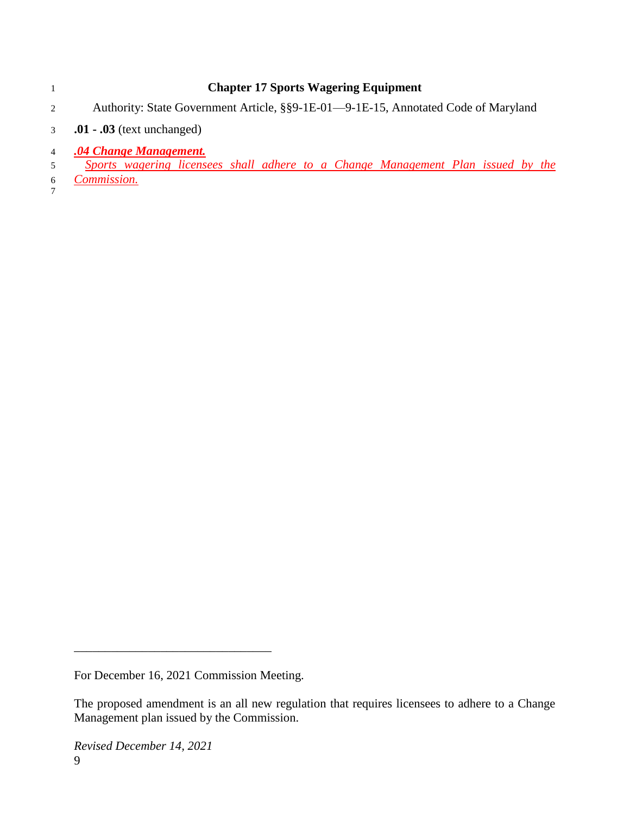|                | <b>Chapter 17 Sports Wagering Equipment</b>                                        |
|----------------|------------------------------------------------------------------------------------|
| $\overline{2}$ | Authority: State Government Article, §§9-1E-01—9-1E-15, Annotated Code of Maryland |
| 3 <sup>7</sup> | $.01 - .03$ (text unchanged)                                                       |
| $\overline{4}$ | .04 Change Management.                                                             |
| $\mathfrak{F}$ | Sports wagering licensees shall adhere to a Change Management Plan issued by the   |
| 6              | Commission.                                                                        |
|                |                                                                                    |
|                |                                                                                    |

The proposed amendment is an all new regulation that requires licensees to adhere to a Change Management plan issued by the Commission.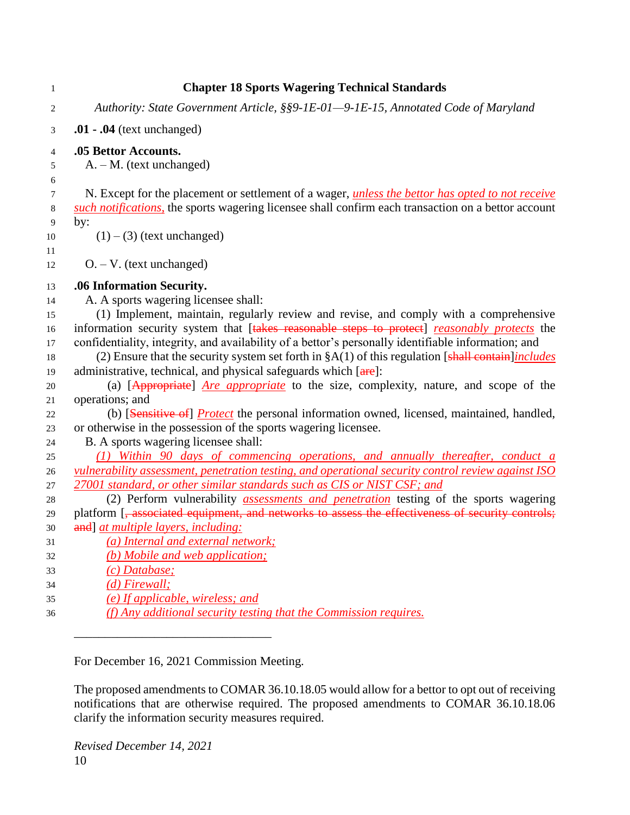| $\mathbf{1}$   | <b>Chapter 18 Sports Wagering Technical Standards</b>                                                                                                                                 |
|----------------|---------------------------------------------------------------------------------------------------------------------------------------------------------------------------------------|
| $\overline{c}$ | Authority: State Government Article, §§9-1E-01-9-1E-15, Annotated Code of Maryland                                                                                                    |
| 3              | $.01 - .04$ (text unchanged)                                                                                                                                                          |
| $\overline{4}$ | .05 Bettor Accounts.                                                                                                                                                                  |
| 5              | $A. - M.$ (text unchanged)                                                                                                                                                            |
| 6              |                                                                                                                                                                                       |
| $\tau$         | N. Except for the placement or settlement of a wager, <i>unless the bettor has opted to not receive</i>                                                                               |
| 8              | such notifications, the sports wagering licensee shall confirm each transaction on a bettor account                                                                                   |
| 9              | by:                                                                                                                                                                                   |
| 10             | $(1) - (3)$ (text unchanged)                                                                                                                                                          |
| 11             |                                                                                                                                                                                       |
| 12             | $O. - V.$ (text unchanged)                                                                                                                                                            |
| 13             | .06 Information Security.                                                                                                                                                             |
| 14             | A. A sports wagering licensee shall:                                                                                                                                                  |
| 15             | (1) Implement, maintain, regularly review and revise, and comply with a comprehensive                                                                                                 |
| 16             | information security system that [takes reasonable steps to protect] reasonably protects the                                                                                          |
| 17             | confidentiality, integrity, and availability of a bettor's personally identifiable information; and                                                                                   |
| 18             | (2) Ensure that the security system set forth in $\S A(1)$ of this regulation [shall contain]includes                                                                                 |
| 19             | administrative, technical, and physical safeguards which [are]:                                                                                                                       |
| 20             | (a) [Appropriate] <i>Are appropriate</i> to the size, complexity, nature, and scope of the                                                                                            |
| 21             | operations; and                                                                                                                                                                       |
| 22             | (b) [Sensitive of] <i>Protect</i> the personal information owned, licensed, maintained, handled,                                                                                      |
| 23             | or otherwise in the possession of the sports wagering licensee.                                                                                                                       |
| 24             | B. A sports wagering licensee shall:                                                                                                                                                  |
| 25             | (1) Within 90 days of commencing operations, and annually thereafter, conduct a<br>vulnerability assessment, penetration testing, and operational security control review against ISO |
| 26<br>27       | 27001 standard, or other similar standards such as CIS or NIST CSF; and                                                                                                               |
| 28             | (2) Perform vulnerability <i>assessments and penetration</i> testing of the sports wagering                                                                                           |
| 29             | platform [, associated equipment, and networks to assess the effectiveness of security controls;                                                                                      |
| 30             | and] at multiple layers, including:                                                                                                                                                   |
| 31             | (a) Internal and external network;                                                                                                                                                    |
| 32             | (b) Mobile and web application;                                                                                                                                                       |
| 33             | $(c)$ Database;                                                                                                                                                                       |
| 34             | $(d)$ Firewall;                                                                                                                                                                       |
| 35             | (e) If applicable, wireless; and                                                                                                                                                      |
| 36             | (f) Any additional security testing that the Commission requires.                                                                                                                     |

\_\_\_\_\_\_\_\_\_\_\_\_\_\_\_\_\_\_\_\_\_\_\_\_\_\_\_\_\_\_\_\_

The proposed amendments to COMAR 36.10.18.05 would allow for a bettor to opt out of receiving notifications that are otherwise required. The proposed amendments to COMAR 36.10.18.06 clarify the information security measures required.